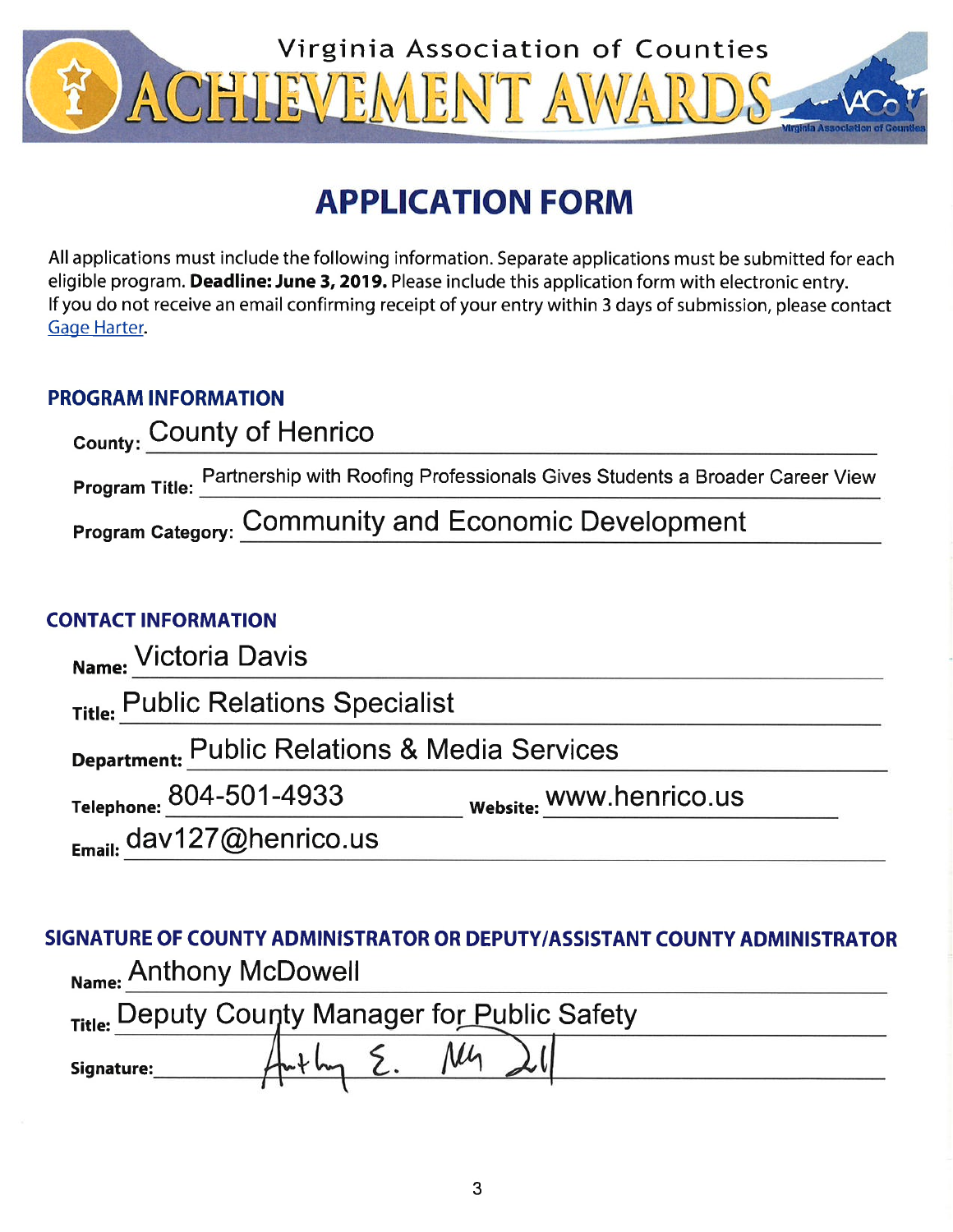

# **APPLICATION FORM**

All applications must include the following information. Separate applications must be submitted for each eligible program. Deadline: June 3, 2019. Please include this application form with electronic entry. If you do not receive an email confirming receipt of your entry within 3 days of submission, please contact Gage Harter.

# **PROGRAM INFORMATION**

| <sub>County:</sub> County of Henrico |                                                                                            |  |  |  |  |
|--------------------------------------|--------------------------------------------------------------------------------------------|--|--|--|--|
|                                      | Program Title: Partnership with Roofing Professionals Gives Students a Broader Career View |  |  |  |  |
|                                      | <b>Program Category: Community and Economic Development</b>                                |  |  |  |  |

# **CONTACT INFORMATION**

| Name: Victoria Davis                          |                         |  |  |  |  |  |  |
|-----------------------------------------------|-------------------------|--|--|--|--|--|--|
| Title: Public Relations Specialist            |                         |  |  |  |  |  |  |
| Department: Public Relations & Media Services |                         |  |  |  |  |  |  |
| Telephone: 804-501-4933                       | Website: WWW.henrico.us |  |  |  |  |  |  |
| $_{E_{\text{mail}}}$ dav127@henrico.us        |                         |  |  |  |  |  |  |

SIGNATURE OF COUNTY ADMINISTRATOR OR DEPUTY/ASSISTANT COUNTY ADMINISTRATOR Name: Anthony McDowell

| Title: Deputy County Manager for Public Safety |  |  |  |  |  |  |  |  |
|------------------------------------------------|--|--|--|--|--|--|--|--|
| Signature:                                     |  |  |  |  |  |  |  |  |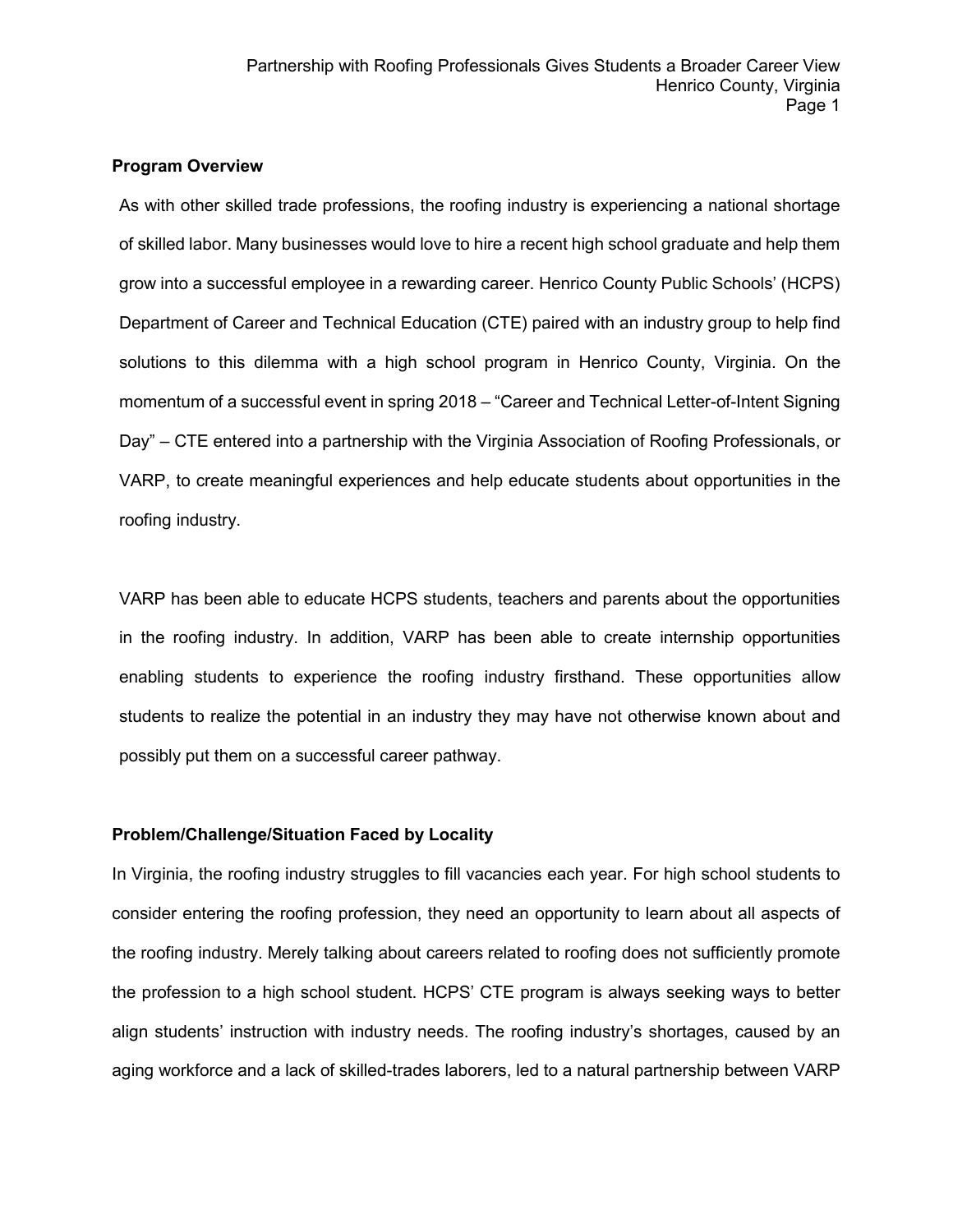#### **Program Overview**

As with other skilled trade professions, the roofing industry is experiencing a national shortage of skilled labor. Many businesses would love to hire a recent high school graduate and help them grow into a successful employee in a rewarding career. Henrico County Public Schools' (HCPS) Department of Career and Technical Education (CTE) paired with an industry group to help find solutions to this dilemma with a high school program in Henrico County, Virginia. On the momentum of a successful event in spring 2018 – "Career and Technical Letter-of-Intent Signing Day" – CTE entered into a partnership with the Virginia Association of Roofing Professionals, or VARP, to create meaningful experiences and help educate students about opportunities in the roofing industry.

VARP has been able to educate HCPS students, teachers and parents about the opportunities in the roofing industry. In addition, VARP has been able to create internship opportunities enabling students to experience the roofing industry firsthand. These opportunities allow students to realize the potential in an industry they may have not otherwise known about and possibly put them on a successful career pathway.

#### **Problem/Challenge/Situation Faced by Locality**

In Virginia, the roofing industry struggles to fill vacancies each year. For high school students to consider entering the roofing profession, they need an opportunity to learn about all aspects of the roofing industry. Merely talking about careers related to roofing does not sufficiently promote the profession to a high school student. HCPS' CTE program is always seeking ways to better align students' instruction with industry needs. The roofing industry's shortages, caused by an aging workforce and a lack of skilled-trades laborers, led to a natural partnership between VARP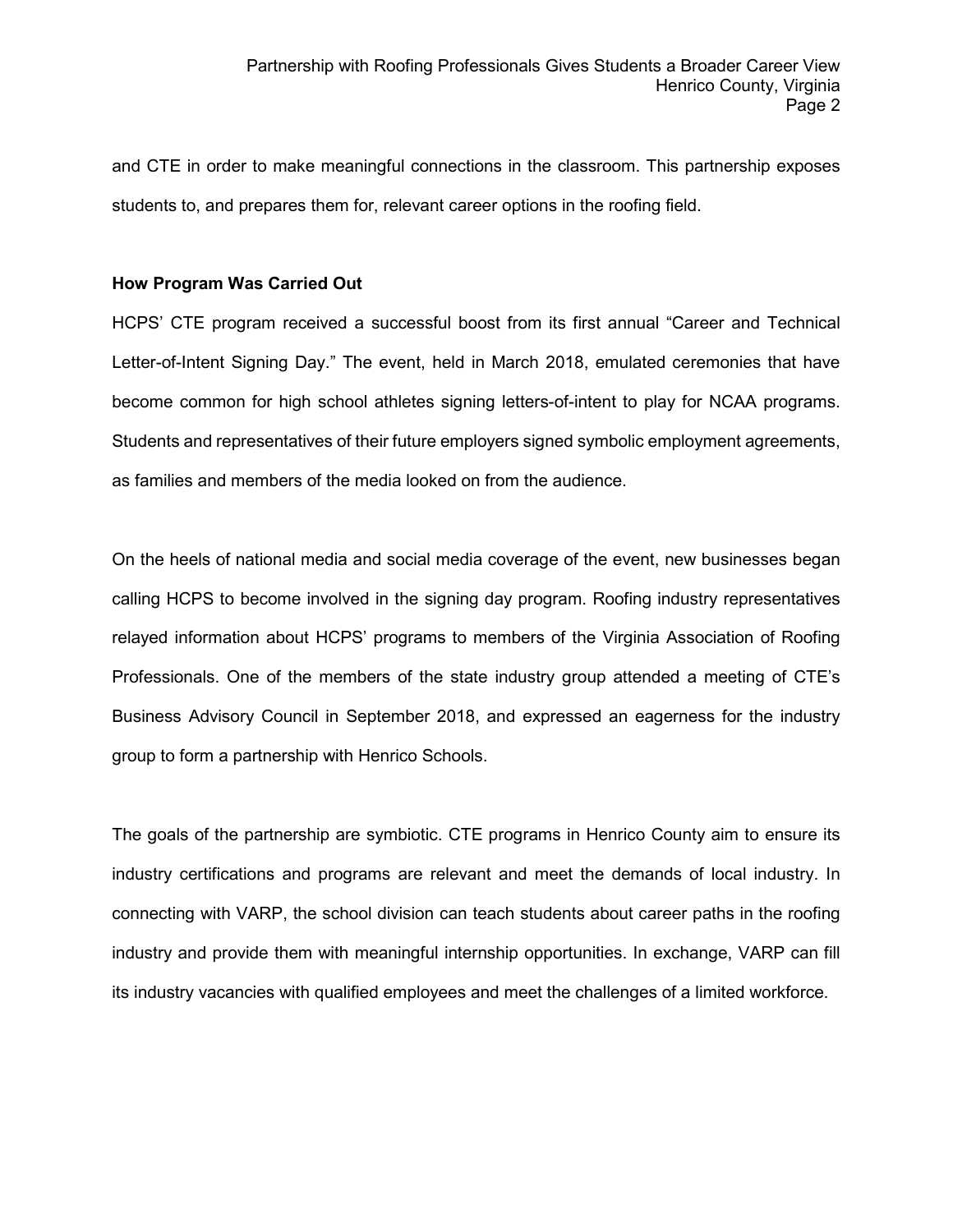and CTE in order to make meaningful connections in the classroom. This partnership exposes students to, and prepares them for, relevant career options in the roofing field.

### **How Program Was Carried Out**

HCPS' CTE program received a successful boost from its first annual "Career and Technical Letter-of-Intent Signing Day." The event, held in March 2018, emulated ceremonies that have become common for high school athletes signing letters-of-intent to play for NCAA programs. Students and representatives of their future employers signed symbolic employment agreements, as families and members of the media looked on from the audience.

On the heels of national media and social media coverage of the event, new businesses began calling HCPS to become involved in the signing day program. Roofing industry representatives relayed information about HCPS' programs to members of the Virginia Association of Roofing Professionals. One of the members of the state industry group attended a meeting of CTE's Business Advisory Council in September 2018, and expressed an eagerness for the industry group to form a partnership with Henrico Schools.

The goals of the partnership are symbiotic. CTE programs in Henrico County aim to ensure its industry certifications and programs are relevant and meet the demands of local industry. In connecting with VARP, the school division can teach students about career paths in the roofing industry and provide them with meaningful internship opportunities. In exchange, VARP can fill its industry vacancies with qualified employees and meet the challenges of a limited workforce.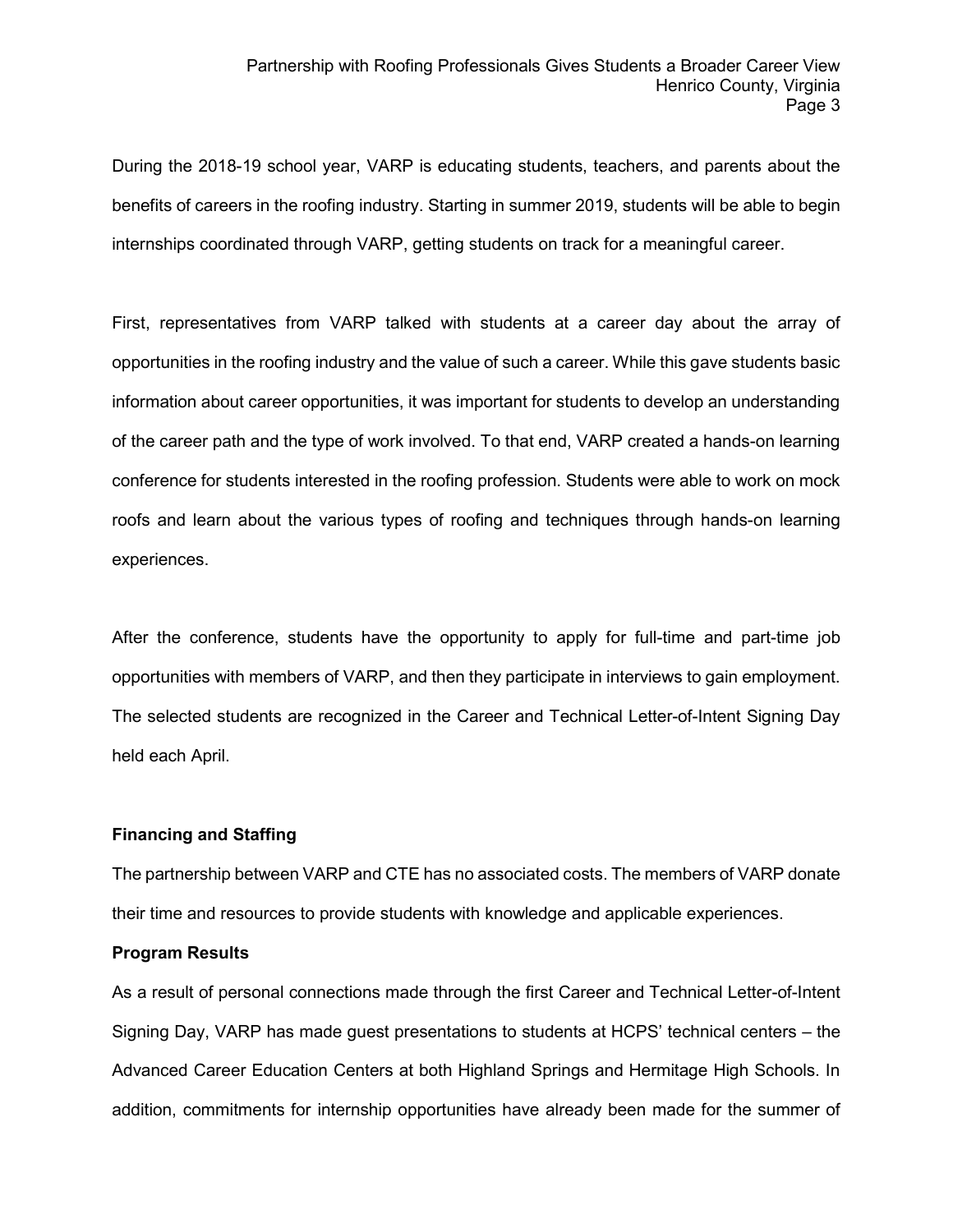During the 2018-19 school year, VARP is educating students, teachers, and parents about the benefits of careers in the roofing industry. Starting in summer 2019, students will be able to begin internships coordinated through VARP, getting students on track for a meaningful career.

First, representatives from VARP talked with students at a career day about the array of opportunities in the roofing industry and the value of such a career. While this gave students basic information about career opportunities, it was important for students to develop an understanding of the career path and the type of work involved. To that end, VARP created a hands-on learning conference for students interested in the roofing profession. Students were able to work on mock roofs and learn about the various types of roofing and techniques through hands-on learning experiences.

After the conference, students have the opportunity to apply for full-time and part-time job opportunities with members of VARP, and then they participate in interviews to gain employment. The selected students are recognized in the Career and Technical Letter-of-Intent Signing Day held each April.

#### **Financing and Staffing**

The partnership between VARP and CTE has no associated costs. The members of VARP donate their time and resources to provide students with knowledge and applicable experiences.

## **Program Results**

As a result of personal connections made through the first Career and Technical Letter-of-Intent Signing Day, VARP has made guest presentations to students at HCPS' technical centers – the Advanced Career Education Centers at both Highland Springs and Hermitage High Schools. In addition, commitments for internship opportunities have already been made for the summer of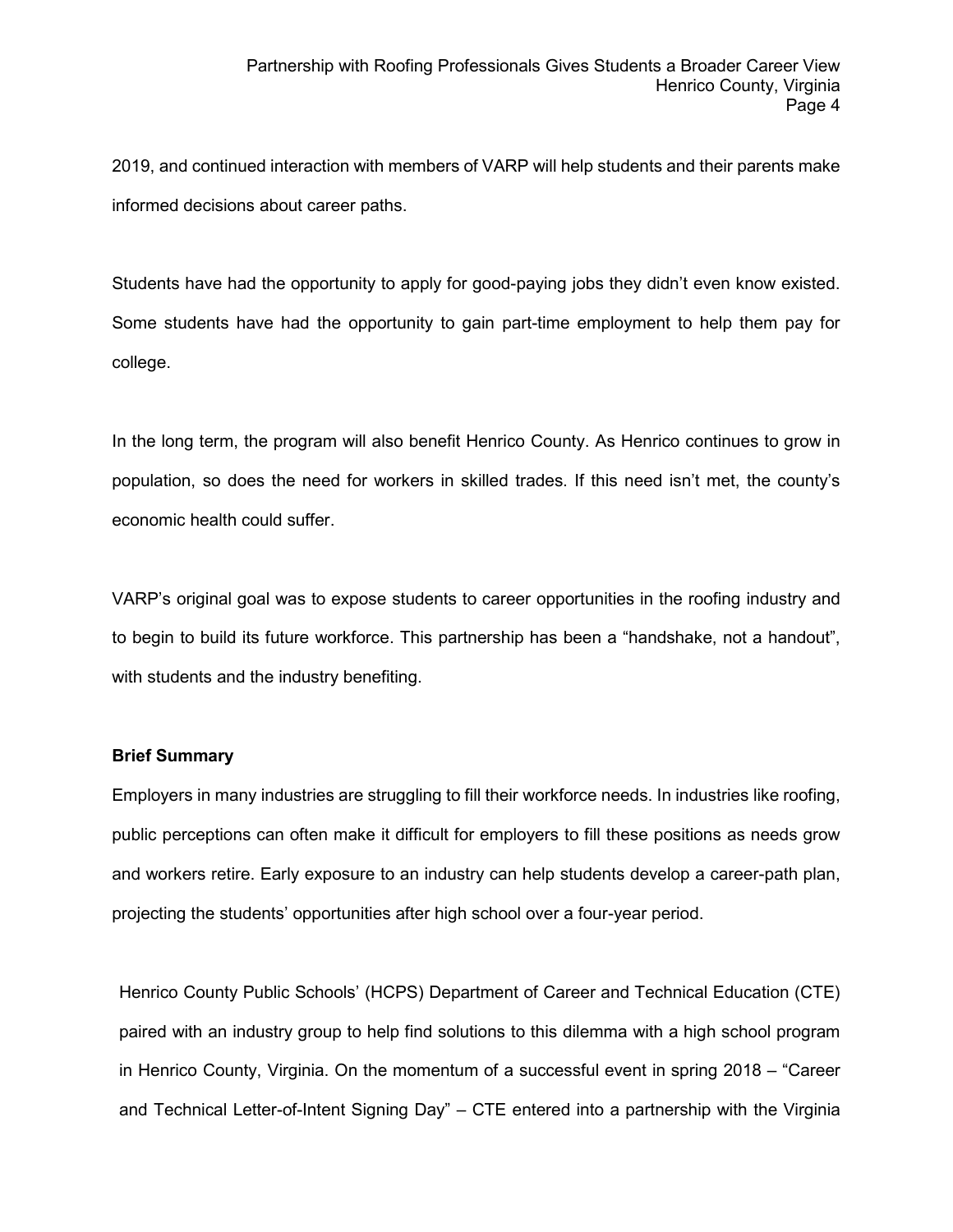2019, and continued interaction with members of VARP will help students and their parents make informed decisions about career paths.

Students have had the opportunity to apply for good-paying jobs they didn't even know existed. Some students have had the opportunity to gain part-time employment to help them pay for college.

In the long term, the program will also benefit Henrico County. As Henrico continues to grow in population, so does the need for workers in skilled trades. If this need isn't met, the county's economic health could suffer.

VARP's original goal was to expose students to career opportunities in the roofing industry and to begin to build its future workforce. This partnership has been a "handshake, not a handout", with students and the industry benefiting.

#### **Brief Summary**

Employers in many industries are struggling to fill their workforce needs. In industries like roofing, public perceptions can often make it difficult for employers to fill these positions as needs grow and workers retire. Early exposure to an industry can help students develop a career-path plan, projecting the students' opportunities after high school over a four-year period.

Henrico County Public Schools' (HCPS) Department of Career and Technical Education (CTE) paired with an industry group to help find solutions to this dilemma with a high school program in Henrico County, Virginia. On the momentum of a successful event in spring 2018 – "Career and Technical Letter-of-Intent Signing Day" – CTE entered into a partnership with the Virginia